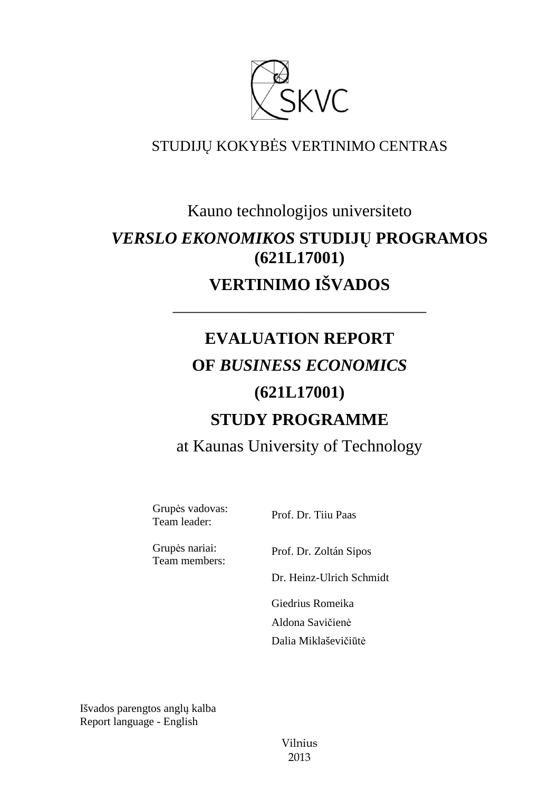

### STUDIJŲ KOKYBĖS VERTINIMO CENTRAS

## Kauno technologijos universiteto *VERSLO EKONOMIKOS* **STUDIJŲ PROGRAMOS (621L17001) VERTINIMO IŠVADOS**

––––––––––––––––––––––––––––––

# **EVALUATION REPORT OF** *BUSINESS ECONOMICS*  **(621L17001) STUDY PROGRAMME**

at Kaunas University of Technology

Grupės vadovas: Team leader: Prof. Dr. Tiiu Paas

Grupės nariai: Team members:

Prof. Dr. Zoltán Sipos

Dr. Heinz-Ulrich Schmidt

 Giedrius Romeika Aldona Savičienė Dalia Miklaševičiūtė

Išvados parengtos anglų kalba Report language - English

> Vilnius 2013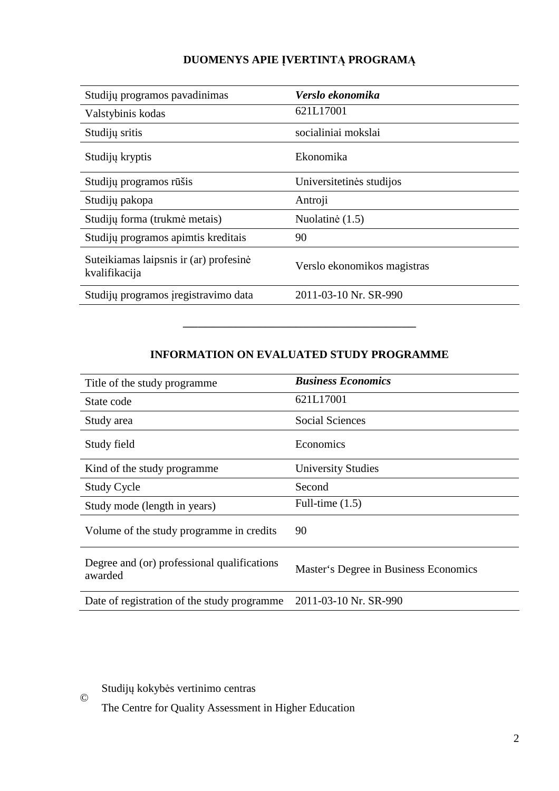#### **DUOMENYS APIE ĮVERTINTĄ PROGRAMĄ**

| Studijų programos pavadinimas                           | Verslo ekonomika            |
|---------------------------------------------------------|-----------------------------|
| Valstybinis kodas                                       | 621L17001                   |
| Studijų sritis                                          | socialiniai mokslai         |
| Studijų kryptis                                         | Ekonomika                   |
| Studijų programos rūšis                                 | Universitetinės studijos    |
| Studijų pakopa                                          | Antroji                     |
| Studijų forma (trukmė metais)                           | Nuolatinė (1.5)             |
| Studijų programos apimtis kreditais                     | 90                          |
| Suteikiamas laipsnis ir (ar) profesinė<br>kvalifikacija | Verslo ekonomikos magistras |
| Studijų programos įregistravimo data                    | 2011-03-10 Nr. SR-990       |

#### **INFORMATION ON EVALUATED STUDY PROGRAMME**

–––––––––––––––––––––––––––––––

| Title of the study programme.                          | <b>Business Economics</b>             |
|--------------------------------------------------------|---------------------------------------|
| State code                                             | 621L17001                             |
| Study area                                             | <b>Social Sciences</b>                |
| Study field                                            | Economics                             |
| Kind of the study programme                            | <b>University Studies</b>             |
| <b>Study Cycle</b>                                     | Second                                |
| Study mode (length in years)                           | Full-time $(1.5)$                     |
| Volume of the study programme in credits               | 90                                    |
| Degree and (or) professional qualifications<br>awarded | Master's Degree in Business Economics |
| Date of registration of the study programme            | 2011-03-10 Nr. SR-990                 |

Studijų kokybės vertinimo centras

©

The Centre for Quality Assessment in Higher Education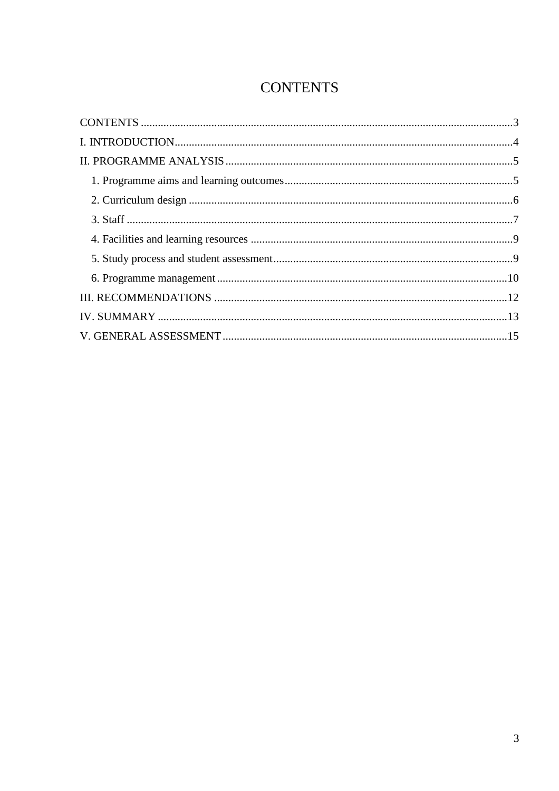## **CONTENTS**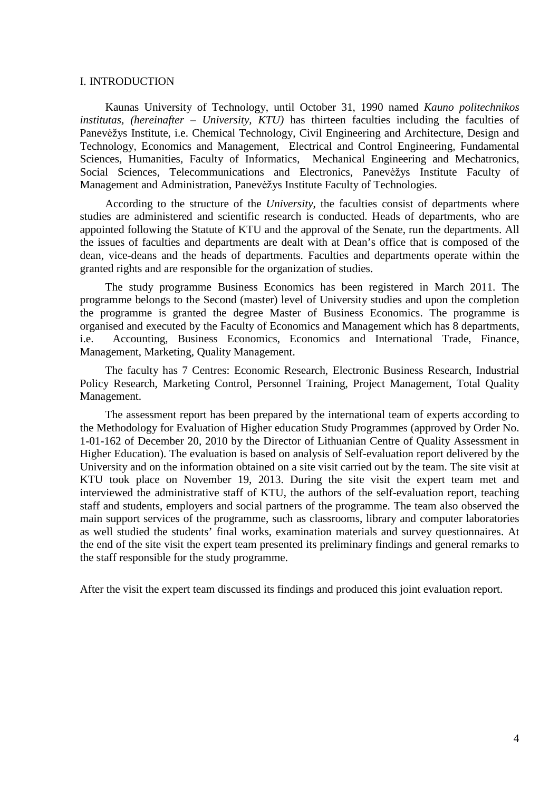#### I. INTRODUCTION

Kaunas University of Technology, until October 31, 1990 named *Kauno politechnikos institutas, (hereinafter – University, KTU)* has thirteen faculties including the faculties of Panevėžys Institute, i.e. Chemical Technology, Civil Engineering and Architecture, Design and Technology, Economics and Management, Electrical and Control Engineering, Fundamental Sciences, Humanities, Faculty of Informatics, Mechanical Engineering and Mechatronics, Social Sciences, Telecommunications and Electronics, Panevėžys Institute Faculty of Management and Administration, Panevėžys Institute Faculty of Technologies.

According to the structure of the *University*, the faculties consist of departments where studies are administered and scientific research is conducted. Heads of departments, who are appointed following the Statute of KTU and the approval of the Senate, run the departments. All the issues of faculties and departments are dealt with at Dean's office that is composed of the dean, vice-deans and the heads of departments. Faculties and departments operate within the granted rights and are responsible for the organization of studies.

The study programme Business Economics has been registered in March 2011. The programme belongs to the Second (master) level of University studies and upon the completion the programme is granted the degree Master of Business Economics. The programme is organised and executed by the Faculty of Economics and Management which has 8 departments, i.e. Accounting, Business Economics, Economics and International Trade, Finance, Management, Marketing, Quality Management.

The faculty has 7 Centres: Economic Research, Electronic Business Research, Industrial Policy Research, Marketing Control, Personnel Training, Project Management, Total Quality Management.

The assessment report has been prepared by the international team of experts according to the Methodology for Evaluation of Higher education Study Programmes (approved by Order No. 1-01-162 of December 20, 2010 by the Director of Lithuanian Centre of Quality Assessment in Higher Education). The evaluation is based on analysis of Self-evaluation report delivered by the University and on the information obtained on a site visit carried out by the team. The site visit at KTU took place on November 19, 2013. During the site visit the expert team met and interviewed the administrative staff of KTU, the authors of the self-evaluation report, teaching staff and students, employers and social partners of the programme. The team also observed the main support services of the programme, such as classrooms, library and computer laboratories as well studied the students' final works, examination materials and survey questionnaires. At the end of the site visit the expert team presented its preliminary findings and general remarks to the staff responsible for the study programme.

After the visit the expert team discussed its findings and produced this joint evaluation report.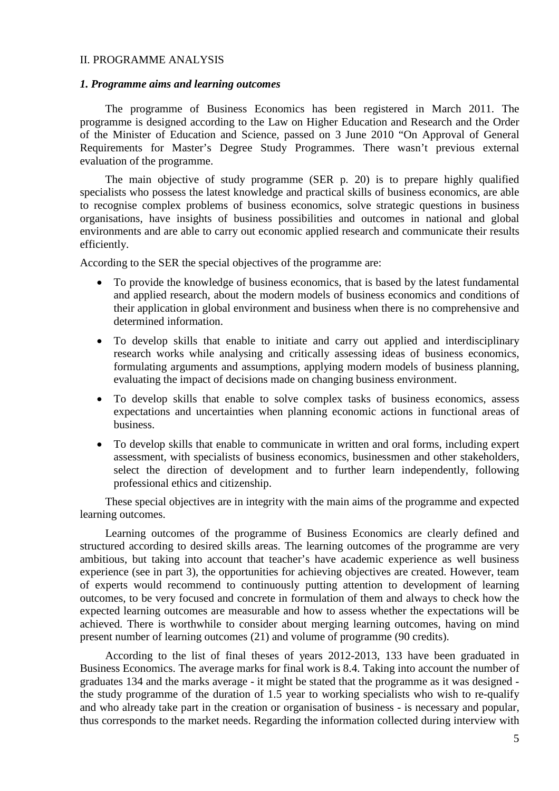#### II. PROGRAMME ANALYSIS

#### *1. Programme aims and learning outcomes*

The programme of Business Economics has been registered in March 2011. The programme is designed according to the Law on Higher Education and Research and the Order of the Minister of Education and Science, passed on 3 June 2010 "On Approval of General Requirements for Master's Degree Study Programmes. There wasn't previous external evaluation of the programme.

The main objective of study programme (SER p. 20) is to prepare highly qualified specialists who possess the latest knowledge and practical skills of business economics, are able to recognise complex problems of business economics, solve strategic questions in business organisations, have insights of business possibilities and outcomes in national and global environments and are able to carry out economic applied research and communicate their results efficiently.

According to the SER the special objectives of the programme are:

- To provide the knowledge of business economics, that is based by the latest fundamental and applied research, about the modern models of business economics and conditions of their application in global environment and business when there is no comprehensive and determined information.
- To develop skills that enable to initiate and carry out applied and interdisciplinary research works while analysing and critically assessing ideas of business economics, formulating arguments and assumptions, applying modern models of business planning, evaluating the impact of decisions made on changing business environment.
- To develop skills that enable to solve complex tasks of business economics, assess expectations and uncertainties when planning economic actions in functional areas of business.
- To develop skills that enable to communicate in written and oral forms, including expert assessment, with specialists of business economics, businessmen and other stakeholders, select the direction of development and to further learn independently, following professional ethics and citizenship.

These special objectives are in integrity with the main aims of the programme and expected learning outcomes.

Learning outcomes of the programme of Business Economics are clearly defined and structured according to desired skills areas. The learning outcomes of the programme are very ambitious, but taking into account that teacher's have academic experience as well business experience (see in part 3), the opportunities for achieving objectives are created. However, team of experts would recommend to continuously putting attention to development of learning outcomes, to be very focused and concrete in formulation of them and always to check how the expected learning outcomes are measurable and how to assess whether the expectations will be achieved. There is worthwhile to consider about merging learning outcomes, having on mind present number of learning outcomes (21) and volume of programme (90 credits).

According to the list of final theses of years 2012-2013, 133 have been graduated in Business Economics. The average marks for final work is 8.4. Taking into account the number of graduates 134 and the marks average - it might be stated that the programme as it was designed the study programme of the duration of 1.5 year to working specialists who wish to re-qualify and who already take part in the creation or organisation of business - is necessary and popular, thus corresponds to the market needs. Regarding the information collected during interview with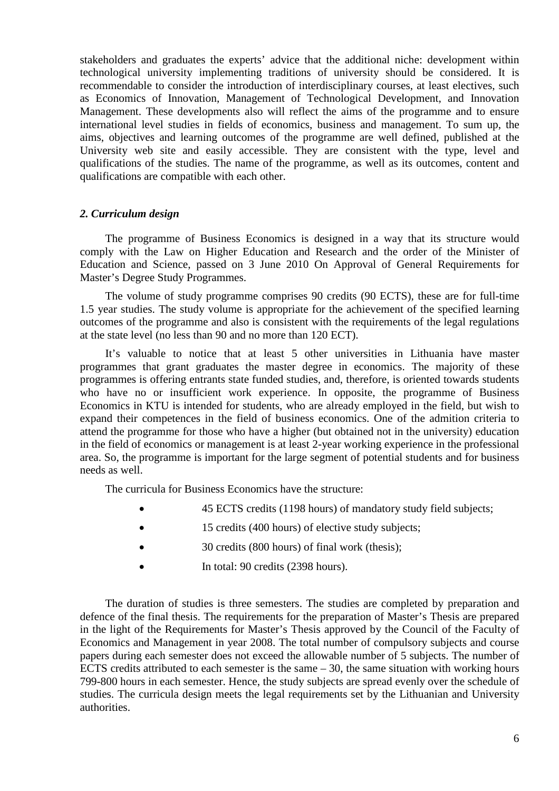stakeholders and graduates the experts' advice that the additional niche: development within technological university implementing traditions of university should be considered. It is recommendable to consider the introduction of interdisciplinary courses, at least electives, such as Economics of Innovation, Management of Technological Development, and Innovation Management. These developments also will reflect the aims of the programme and to ensure international level studies in fields of economics, business and management. To sum up, the aims, objectives and learning outcomes of the programme are well defined, published at the University web site and easily accessible. They are consistent with the type, level and qualifications of the studies. The name of the programme, as well as its outcomes, content and qualifications are compatible with each other.

#### *2. Curriculum design*

The programme of Business Economics is designed in a way that its structure would comply with the Law on Higher Education and Research and the order of the Minister of Education and Science, passed on 3 June 2010 On Approval of General Requirements for Master's Degree Study Programmes.

The volume of study programme comprises 90 credits (90 ECTS), these are for full-time 1.5 year studies. The study volume is appropriate for the achievement of the specified learning outcomes of the programme and also is consistent with the requirements of the legal regulations at the state level (no less than 90 and no more than 120 ECT).

It's valuable to notice that at least 5 other universities in Lithuania have master programmes that grant graduates the master degree in economics. The majority of these programmes is offering entrants state funded studies, and, therefore, is oriented towards students who have no or insufficient work experience. In opposite, the programme of Business Economics in KTU is intended for students, who are already employed in the field, but wish to expand their competences in the field of business economics. One of the admition criteria to attend the programme for those who have a higher (but obtained not in the university) education in the field of economics or management is at least 2-year working experience in the professional area. So, the programme is important for the large segment of potential students and for business needs as well.

The curricula for Business Economics have the structure:

- 45 ECTS credits (1198 hours) of mandatory study field subjects;
- 15 credits (400 hours) of elective study subjects;
- 30 credits (800 hours) of final work (thesis);
- In total: 90 credits (2398 hours).

The duration of studies is three semesters. The studies are completed by preparation and defence of the final thesis. The requirements for the preparation of Master's Thesis are prepared in the light of the Requirements for Master's Thesis approved by the Council of the Faculty of Economics and Management in year 2008. The total number of compulsory subjects and course papers during each semester does not exceed the allowable number of 5 subjects. The number of ECTS credits attributed to each semester is the same  $-30$ , the same situation with working hours 799-800 hours in each semester. Hence, the study subjects are spread evenly over the schedule of studies. The curricula design meets the legal requirements set by the Lithuanian and University authorities.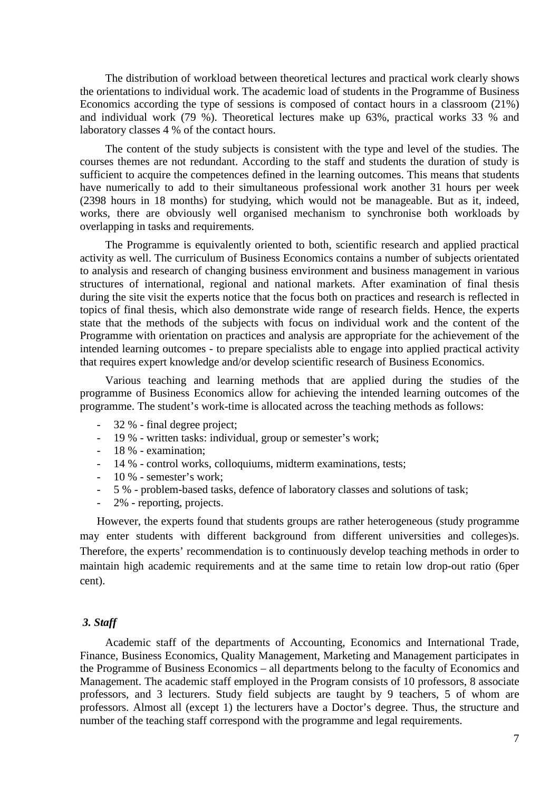The distribution of workload between theoretical lectures and practical work clearly shows the orientations to individual work. The academic load of students in the Programme of Business Economics according the type of sessions is composed of contact hours in a classroom (21%) and individual work (79 %). Theoretical lectures make up 63%, practical works 33 % and laboratory classes 4 % of the contact hours.

The content of the study subjects is consistent with the type and level of the studies. The courses themes are not redundant. According to the staff and students the duration of study is sufficient to acquire the competences defined in the learning outcomes. This means that students have numerically to add to their simultaneous professional work another 31 hours per week (2398 hours in 18 months) for studying, which would not be manageable. But as it, indeed, works, there are obviously well organised mechanism to synchronise both workloads by overlapping in tasks and requirements.

The Programme is equivalently oriented to both, scientific research and applied practical activity as well. The curriculum of Business Economics contains a number of subjects orientated to analysis and research of changing business environment and business management in various structures of international, regional and national markets. After examination of final thesis during the site visit the experts notice that the focus both on practices and research is reflected in topics of final thesis, which also demonstrate wide range of research fields. Hence, the experts state that the methods of the subjects with focus on individual work and the content of the Programme with orientation on practices and analysis are appropriate for the achievement of the intended learning outcomes - to prepare specialists able to engage into applied practical activity that requires expert knowledge and/or develop scientific research of Business Economics.

Various teaching and learning methods that are applied during the studies of the programme of Business Economics allow for achieving the intended learning outcomes of the programme. The student's work-time is allocated across the teaching methods as follows:

- 32 % final degree project;
- 19 % written tasks: individual, group or semester's work;
- 18 % examination;
- 14 % control works, colloquiums, midterm examinations, tests;
- 10 % semester's work;
- 5 % problem-based tasks, defence of laboratory classes and solutions of task;
- 2% reporting, projects.

However, the experts found that students groups are rather heterogeneous (study programme may enter students with different background from different universities and colleges)s. Therefore, the experts' recommendation is to continuously develop teaching methods in order to maintain high academic requirements and at the same time to retain low drop-out ratio (6per cent).

#### *3. Staff*

Academic staff of the departments of Accounting, Economics and International Trade, Finance, Business Economics, Quality Management, Marketing and Management participates in the Programme of Business Economics – all departments belong to the faculty of Economics and Management. The academic staff employed in the Program consists of 10 professors, 8 associate professors, and 3 lecturers. Study field subjects are taught by 9 teachers, 5 of whom are professors. Almost all (except 1) the lecturers have a Doctor's degree. Thus, the structure and number of the teaching staff correspond with the programme and legal requirements.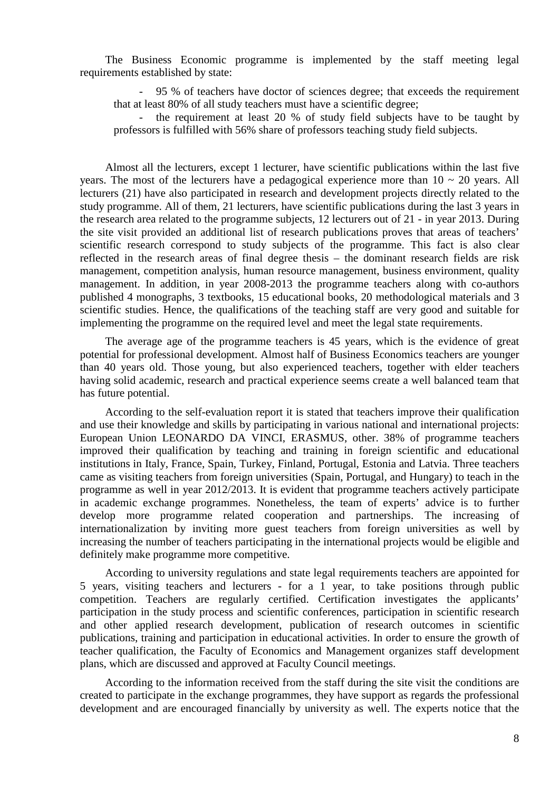The Business Economic programme is implemented by the staff meeting legal requirements established by state:

- 95 % of teachers have doctor of sciences degree; that exceeds the requirement that at least 80% of all study teachers must have a scientific degree;

the requirement at least 20 % of study field subjects have to be taught by professors is fulfilled with 56% share of professors teaching study field subjects.

Almost all the lecturers, except 1 lecturer, have scientific publications within the last five years. The most of the lecturers have a pedagogical experience more than  $10 \sim 20$  years. All lecturers (21) have also participated in research and development projects directly related to the study programme. All of them, 21 lecturers, have scientific publications during the last 3 years in the research area related to the programme subjects, 12 lecturers out of 21 - in year 2013. During the site visit provided an additional list of research publications proves that areas of teachers' scientific research correspond to study subjects of the programme. This fact is also clear reflected in the research areas of final degree thesis – the dominant research fields are risk management, competition analysis, human resource management, business environment, quality management. In addition, in year 2008-2013 the programme teachers along with co-authors published 4 monographs, 3 textbooks, 15 educational books, 20 methodological materials and 3 scientific studies. Hence, the qualifications of the teaching staff are very good and suitable for implementing the programme on the required level and meet the legal state requirements.

The average age of the programme teachers is 45 years, which is the evidence of great potential for professional development. Almost half of Business Economics teachers are younger than 40 years old. Those young, but also experienced teachers, together with elder teachers having solid academic, research and practical experience seems create a well balanced team that has future potential.

According to the self-evaluation report it is stated that teachers improve their qualification and use their knowledge and skills by participating in various national and international projects: European Union LEONARDO DA VINCI, ERASMUS, other. 38% of programme teachers improved their qualification by teaching and training in foreign scientific and educational institutions in Italy, France, Spain, Turkey, Finland, Portugal, Estonia and Latvia. Three teachers came as visiting teachers from foreign universities (Spain, Portugal, and Hungary) to teach in the programme as well in year 2012/2013. It is evident that programme teachers actively participate in academic exchange programmes. Nonetheless, the team of experts' advice is to further develop more programme related cooperation and partnerships. The increasing of internationalization by inviting more guest teachers from foreign universities as well by increasing the number of teachers participating in the international projects would be eligible and definitely make programme more competitive.

According to university regulations and state legal requirements teachers are appointed for 5 years, visiting teachers and lecturers - for a 1 year, to take positions through public competition. Teachers are regularly certified. Certification investigates the applicants' participation in the study process and scientific conferences, participation in scientific research and other applied research development, publication of research outcomes in scientific publications, training and participation in educational activities. In order to ensure the growth of teacher qualification, the Faculty of Economics and Management organizes staff development plans, which are discussed and approved at Faculty Council meetings.

According to the information received from the staff during the site visit the conditions are created to participate in the exchange programmes, they have support as regards the professional development and are encouraged financially by university as well. The experts notice that the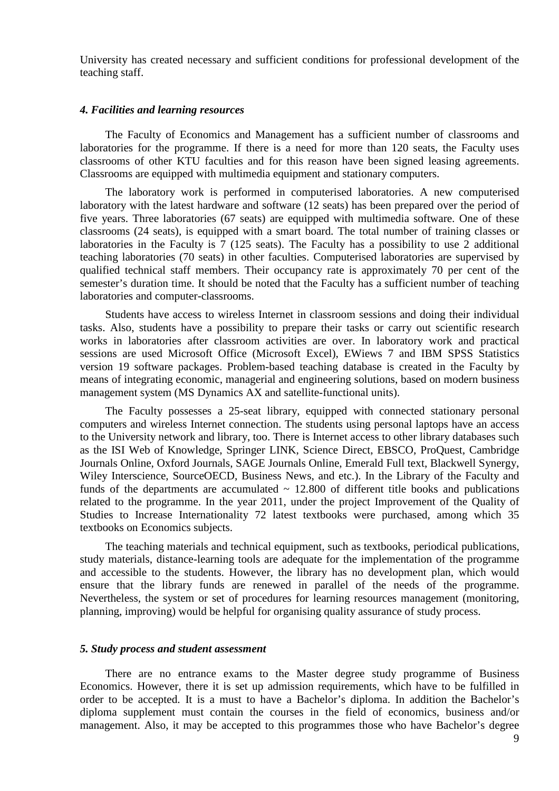University has created necessary and sufficient conditions for professional development of the teaching staff.

#### *4. Facilities and learning resources*

The Faculty of Economics and Management has a sufficient number of classrooms and laboratories for the programme. If there is a need for more than 120 seats, the Faculty uses classrooms of other KTU faculties and for this reason have been signed leasing agreements. Classrooms are equipped with multimedia equipment and stationary computers.

The laboratory work is performed in computerised laboratories. A new computerised laboratory with the latest hardware and software (12 seats) has been prepared over the period of five years. Three laboratories (67 seats) are equipped with multimedia software. One of these classrooms (24 seats), is equipped with a smart board. The total number of training classes or laboratories in the Faculty is 7 (125 seats). The Faculty has a possibility to use 2 additional teaching laboratories (70 seats) in other faculties. Computerised laboratories are supervised by qualified technical staff members. Their occupancy rate is approximately 70 per cent of the semester's duration time. It should be noted that the Faculty has a sufficient number of teaching laboratories and computer-classrooms.

Students have access to wireless Internet in classroom sessions and doing their individual tasks. Also, students have a possibility to prepare their tasks or carry out scientific research works in laboratories after classroom activities are over. In laboratory work and practical sessions are used Microsoft Office (Microsoft Excel), EWiews 7 and IBM SPSS Statistics version 19 software packages. Problem-based teaching database is created in the Faculty by means of integrating economic, managerial and engineering solutions, based on modern business management system (MS Dynamics AX and satellite-functional units).

The Faculty possesses a 25-seat library, equipped with connected stationary personal computers and wireless Internet connection. The students using personal laptops have an access to the University network and library, too. There is Internet access to other library databases such as the ISI Web of Knowledge, Springer LINK, Science Direct, EBSCO, ProQuest, Cambridge Journals Online, Oxford Journals, SAGE Journals Online, Emerald Full text, Blackwell Synergy, Wiley Interscience, SourceOECD, Business News, and etc.). In the Library of the Faculty and funds of the departments are accumulated  $\sim$  12.800 of different title books and publications related to the programme. In the year 2011, under the project Improvement of the Quality of Studies to Increase Internationality 72 latest textbooks were purchased, among which 35 textbooks on Economics subjects.

The teaching materials and technical equipment, such as textbooks, periodical publications, study materials, distance-learning tools are adequate for the implementation of the programme and accessible to the students. However, the library has no development plan, which would ensure that the library funds are renewed in parallel of the needs of the programme. Nevertheless, the system or set of procedures for learning resources management (monitoring, planning, improving) would be helpful for organising quality assurance of study process.

#### *5. Study process and student assessment*

There are no entrance exams to the Master degree study programme of Business Economics. However, there it is set up admission requirements, which have to be fulfilled in order to be accepted. It is a must to have a Bachelor's diploma. In addition the Bachelor's diploma supplement must contain the courses in the field of economics, business and/or management. Also, it may be accepted to this programmes those who have Bachelor's degree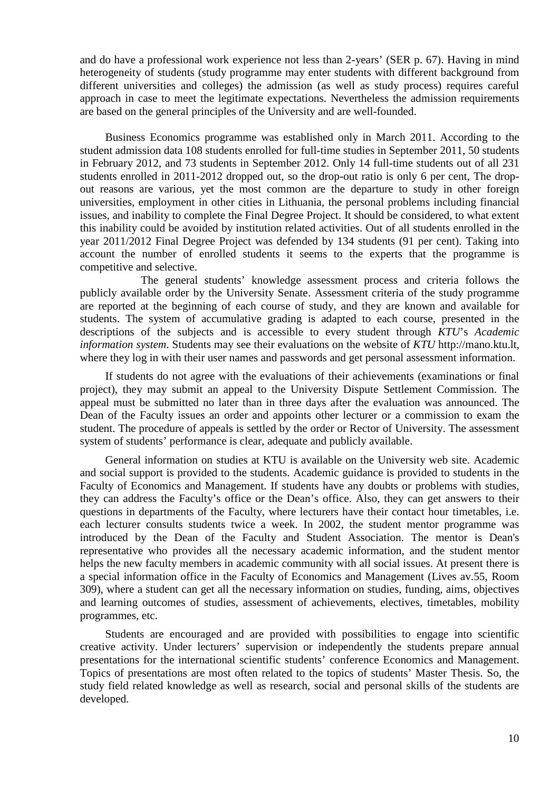and do have a professional work experience not less than 2-years' (SER p. 67). Having in mind heterogeneity of students (study programme may enter students with different background from different universities and colleges) the admission (as well as study process) requires careful approach in case to meet the legitimate expectations. Nevertheless the admission requirements are based on the general principles of the University and are well-founded.

Business Economics programme was established only in March 2011. According to the student admission data 108 students enrolled for full-time studies in September 2011, 50 students in February 2012, and 73 students in September 2012. Only 14 full-time students out of all 231 students enrolled in 2011-2012 dropped out, so the drop-out ratio is only 6 per cent, The dropout reasons are various, yet the most common are the departure to study in other foreign universities, employment in other cities in Lithuania, the personal problems including financial issues, and inability to complete the Final Degree Project. It should be considered, to what extent this inability could be avoided by institution related activities. Out of all students enrolled in the year 2011/2012 Final Degree Project was defended by 134 students (91 per cent). Taking into account the number of enrolled students it seems to the experts that the programme is competitive and selective.

 The general students' knowledge assessment process and criteria follows the publicly available order by the University Senate. Assessment criteria of the study programme are reported at the beginning of each course of study, and they are known and available for students. The system of accumulative grading is adapted to each course, presented in the descriptions of the subjects and is accessible to every student through *KTU*'s *Academic information system*. Students may see their evaluations on the website of *KTU* http://mano.ktu.lt, where they log in with their user names and passwords and get personal assessment information.

If students do not agree with the evaluations of their achievements (examinations or final project), they may submit an appeal to the University Dispute Settlement Commission. The appeal must be submitted no later than in three days after the evaluation was announced. The Dean of the Faculty issues an order and appoints other lecturer or a commission to exam the student. The procedure of appeals is settled by the order or Rector of University. The assessment system of students' performance is clear, adequate and publicly available.

General information on studies at KTU is available on the University web site. Academic and social support is provided to the students. Academic guidance is provided to students in the Faculty of Economics and Management. If students have any doubts or problems with studies, they can address the Faculty's office or the Dean's office. Also, they can get answers to their questions in departments of the Faculty, where lecturers have their contact hour timetables, i.e. each lecturer consults students twice a week. In 2002, the student mentor programme was introduced by the Dean of the Faculty and Student Association. The mentor is Dean's representative who provides all the necessary academic information, and the student mentor helps the new faculty members in academic community with all social issues. At present there is a special information office in the Faculty of Economics and Management (Lives av.55, Room 309), where a student can get all the necessary information on studies, funding, aims, objectives and learning outcomes of studies, assessment of achievements, electives, timetables, mobility programmes, etc.

Students are encouraged and are provided with possibilities to engage into scientific creative activity. Under lecturers' supervision or independently the students prepare annual presentations for the international scientific students' conference Economics and Management. Topics of presentations are most often related to the topics of students' Master Thesis. So, the study field related knowledge as well as research, social and personal skills of the students are developed.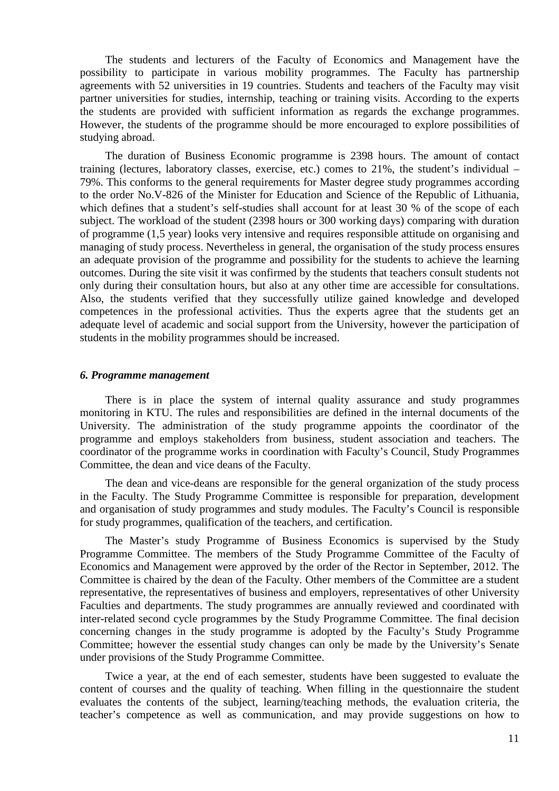The students and lecturers of the Faculty of Economics and Management have the possibility to participate in various mobility programmes. The Faculty has partnership agreements with 52 universities in 19 countries. Students and teachers of the Faculty may visit partner universities for studies, internship, teaching or training visits. According to the experts the students are provided with sufficient information as regards the exchange programmes. However, the students of the programme should be more encouraged to explore possibilities of studying abroad.

The duration of Business Economic programme is 2398 hours. The amount of contact training (lectures, laboratory classes, exercise, etc.) comes to 21%, the student's individual – 79%. This conforms to the general requirements for Master degree study programmes according to the order No.V-826 of the Minister for Education and Science of the Republic of Lithuania, which defines that a student's self-studies shall account for at least 30 % of the scope of each subject. The workload of the student (2398 hours or 300 working days) comparing with duration of programme (1,5 year) looks very intensive and requires responsible attitude on organising and managing of study process. Nevertheless in general, the organisation of the study process ensures an adequate provision of the programme and possibility for the students to achieve the learning outcomes. During the site visit it was confirmed by the students that teachers consult students not only during their consultation hours, but also at any other time are accessible for consultations. Also, the students verified that they successfully utilize gained knowledge and developed competences in the professional activities. Thus the experts agree that the students get an adequate level of academic and social support from the University, however the participation of students in the mobility programmes should be increased.

#### *6. Programme management*

There is in place the system of internal quality assurance and study programmes monitoring in KTU. The rules and responsibilities are defined in the internal documents of the University. The administration of the study programme appoints the coordinator of the programme and employs stakeholders from business, student association and teachers. The coordinator of the programme works in coordination with Faculty's Council, Study Programmes Committee, the dean and vice deans of the Faculty.

The dean and vice-deans are responsible for the general organization of the study process in the Faculty. The Study Programme Committee is responsible for preparation, development and organisation of study programmes and study modules. The Faculty's Council is responsible for study programmes, qualification of the teachers, and certification.

The Master's study Programme of Business Economics is supervised by the Study Programme Committee. The members of the Study Programme Committee of the Faculty of Economics and Management were approved by the order of the Rector in September, 2012. The Committee is chaired by the dean of the Faculty. Other members of the Committee are a student representative, the representatives of business and employers, representatives of other University Faculties and departments. The study programmes are annually reviewed and coordinated with inter-related second cycle programmes by the Study Programme Committee. The final decision concerning changes in the study programme is adopted by the Faculty's Study Programme Committee; however the essential study changes can only be made by the University's Senate under provisions of the Study Programme Committee.

Twice a year, at the end of each semester, students have been suggested to evaluate the content of courses and the quality of teaching. When filling in the questionnaire the student evaluates the contents of the subject, learning/teaching methods, the evaluation criteria, the teacher's competence as well as communication, and may provide suggestions on how to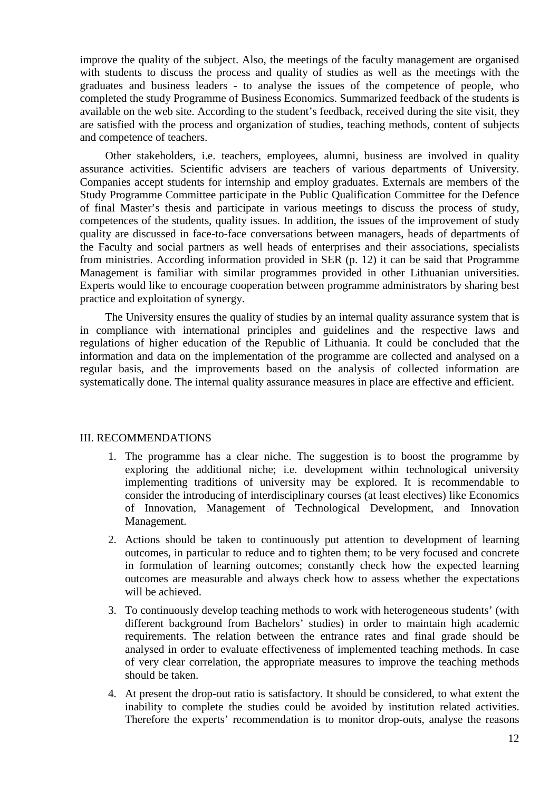improve the quality of the subject. Also, the meetings of the faculty management are organised with students to discuss the process and quality of studies as well as the meetings with the graduates and business leaders - to analyse the issues of the competence of people, who completed the study Programme of Business Economics. Summarized feedback of the students is available on the web site. According to the student's feedback, received during the site visit, they are satisfied with the process and organization of studies, teaching methods, content of subjects and competence of teachers.

Other stakeholders, i.e. teachers, employees, alumni, business are involved in quality assurance activities. Scientific advisers are teachers of various departments of University. Companies accept students for internship and employ graduates. Externals are members of the Study Programme Committee participate in the Public Qualification Committee for the Defence of final Master's thesis and participate in various meetings to discuss the process of study, competences of the students, quality issues. In addition, the issues of the improvement of study quality are discussed in face-to-face conversations between managers, heads of departments of the Faculty and social partners as well heads of enterprises and their associations, specialists from ministries. According information provided in SER (p. 12) it can be said that Programme Management is familiar with similar programmes provided in other Lithuanian universities. Experts would like to encourage cooperation between programme administrators by sharing best practice and exploitation of synergy.

The University ensures the quality of studies by an internal quality assurance system that is in compliance with international principles and guidelines and the respective laws and regulations of higher education of the Republic of Lithuania. It could be concluded that the information and data on the implementation of the programme are collected and analysed on a regular basis, and the improvements based on the analysis of collected information are systematically done. The internal quality assurance measures in place are effective and efficient.

#### III. RECOMMENDATIONS

- 1. The programme has a clear niche. The suggestion is to boost the programme by exploring the additional niche; i.e. development within technological university implementing traditions of university may be explored. It is recommendable to consider the introducing of interdisciplinary courses (at least electives) like Economics of Innovation, Management of Technological Development, and Innovation Management.
- 2. Actions should be taken to continuously put attention to development of learning outcomes, in particular to reduce and to tighten them; to be very focused and concrete in formulation of learning outcomes; constantly check how the expected learning outcomes are measurable and always check how to assess whether the expectations will be achieved.
- 3. To continuously develop teaching methods to work with heterogeneous students' (with different background from Bachelors' studies) in order to maintain high academic requirements. The relation between the entrance rates and final grade should be analysed in order to evaluate effectiveness of implemented teaching methods. In case of very clear correlation, the appropriate measures to improve the teaching methods should be taken.
- 4. At present the drop-out ratio is satisfactory. It should be considered, to what extent the inability to complete the studies could be avoided by institution related activities. Therefore the experts' recommendation is to monitor drop-outs, analyse the reasons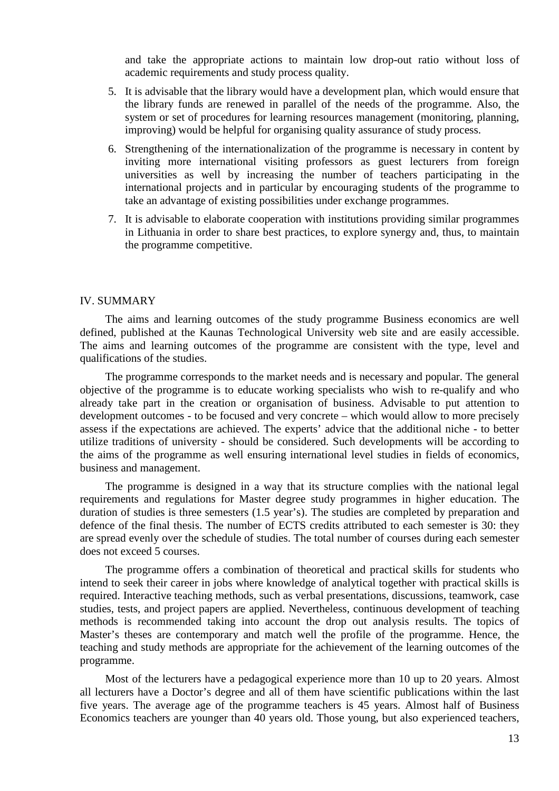and take the appropriate actions to maintain low drop-out ratio without loss of academic requirements and study process quality.

- 5. It is advisable that the library would have a development plan, which would ensure that the library funds are renewed in parallel of the needs of the programme. Also, the system or set of procedures for learning resources management (monitoring, planning, improving) would be helpful for organising quality assurance of study process.
- 6. Strengthening of the internationalization of the programme is necessary in content by inviting more international visiting professors as guest lecturers from foreign universities as well by increasing the number of teachers participating in the international projects and in particular by encouraging students of the programme to take an advantage of existing possibilities under exchange programmes.
- 7. It is advisable to elaborate cooperation with institutions providing similar programmes in Lithuania in order to share best practices, to explore synergy and, thus, to maintain the programme competitive.

#### IV. SUMMARY

The aims and learning outcomes of the study programme Business economics are well defined, published at the Kaunas Technological University web site and are easily accessible. The aims and learning outcomes of the programme are consistent with the type, level and qualifications of the studies.

The programme corresponds to the market needs and is necessary and popular. The general objective of the programme is to educate working specialists who wish to re-qualify and who already take part in the creation or organisation of business. Advisable to put attention to development outcomes - to be focused and very concrete – which would allow to more precisely assess if the expectations are achieved. The experts' advice that the additional niche - to better utilize traditions of university - should be considered. Such developments will be according to the aims of the programme as well ensuring international level studies in fields of economics, business and management.

The programme is designed in a way that its structure complies with the national legal requirements and regulations for Master degree study programmes in higher education. The duration of studies is three semesters (1.5 year's). The studies are completed by preparation and defence of the final thesis. The number of ECTS credits attributed to each semester is 30: they are spread evenly over the schedule of studies. The total number of courses during each semester does not exceed 5 courses.

The programme offers a combination of theoretical and practical skills for students who intend to seek their career in jobs where knowledge of analytical together with practical skills is required. Interactive teaching methods, such as verbal presentations, discussions, teamwork, case studies, tests, and project papers are applied. Nevertheless, continuous development of teaching methods is recommended taking into account the drop out analysis results. The topics of Master's theses are contemporary and match well the profile of the programme. Hence, the teaching and study methods are appropriate for the achievement of the learning outcomes of the programme.

Most of the lecturers have a pedagogical experience more than 10 up to 20 years. Almost all lecturers have a Doctor's degree and all of them have scientific publications within the last five years. The average age of the programme teachers is 45 years. Almost half of Business Economics teachers are younger than 40 years old. Those young, but also experienced teachers,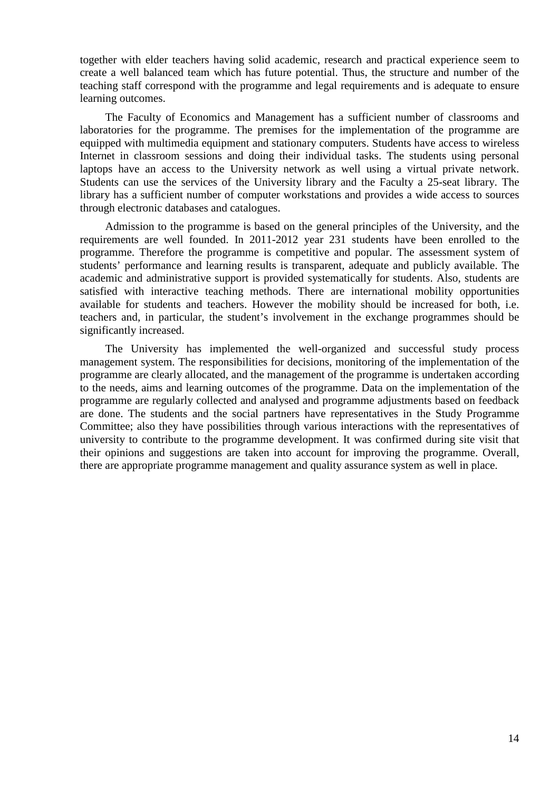together with elder teachers having solid academic, research and practical experience seem to create a well balanced team which has future potential. Thus, the structure and number of the teaching staff correspond with the programme and legal requirements and is adequate to ensure learning outcomes.

The Faculty of Economics and Management has a sufficient number of classrooms and laboratories for the programme. The premises for the implementation of the programme are equipped with multimedia equipment and stationary computers. Students have access to wireless Internet in classroom sessions and doing their individual tasks. The students using personal laptops have an access to the University network as well using a virtual private network. Students can use the services of the University library and the Faculty a 25-seat library. The library has a sufficient number of computer workstations and provides a wide access to sources through electronic databases and catalogues.

Admission to the programme is based on the general principles of the University, and the requirements are well founded. In 2011-2012 year 231 students have been enrolled to the programme. Therefore the programme is competitive and popular. The assessment system of students' performance and learning results is transparent, adequate and publicly available. The academic and administrative support is provided systematically for students. Also, students are satisfied with interactive teaching methods. There are international mobility opportunities available for students and teachers. However the mobility should be increased for both, i.e. teachers and, in particular, the student's involvement in the exchange programmes should be significantly increased.

The University has implemented the well-organized and successful study process management system. The responsibilities for decisions, monitoring of the implementation of the programme are clearly allocated, and the management of the programme is undertaken according to the needs, aims and learning outcomes of the programme. Data on the implementation of the programme are regularly collected and analysed and programme adjustments based on feedback are done. The students and the social partners have representatives in the Study Programme Committee; also they have possibilities through various interactions with the representatives of university to contribute to the programme development. It was confirmed during site visit that their opinions and suggestions are taken into account for improving the programme. Overall, there are appropriate programme management and quality assurance system as well in place.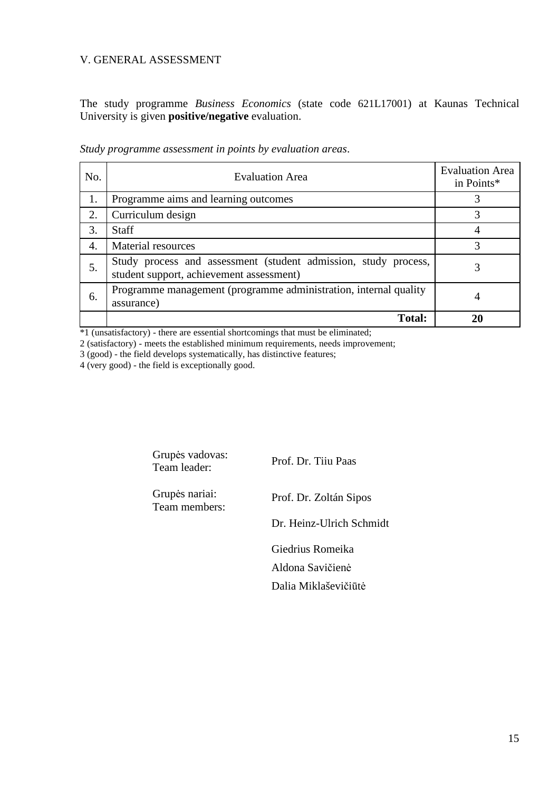#### V. GENERAL ASSESSMENT

The study programme *Business Economics* (state code 621L17001) at Kaunas Technical University is given **positive/negative** evaluation.

| No. | <b>Evaluation Area</b>                                                                                      | <b>Evaluation Area</b><br>in Points* |
|-----|-------------------------------------------------------------------------------------------------------------|--------------------------------------|
| 1.  | Programme aims and learning outcomes                                                                        |                                      |
| 2.  | Curriculum design                                                                                           | 3                                    |
| 3.  | <b>Staff</b>                                                                                                |                                      |
| 4.  | Material resources                                                                                          | 3                                    |
| 5.  | Study process and assessment (student admission, study process,<br>student support, achievement assessment) |                                      |
| 6.  | Programme management (programme administration, internal quality<br>assurance)                              | 4                                    |
|     | <b>Total:</b>                                                                                               |                                      |

*Study programme assessment in points by evaluation areas*.

\*1 (unsatisfactory) - there are essential shortcomings that must be eliminated;

2 (satisfactory) - meets the established minimum requirements, needs improvement;

3 (good) - the field develops systematically, has distinctive features;

4 (very good) - the field is exceptionally good.

Grupės vadovas: Team leader: Prof. Dr. Tiiu Paas Grupės nariai: Team members: Prof. Dr. Zoltán Sipos Dr. Heinz-Ulrich Schmidt Giedrius Romeika Aldona Savičienė Dalia Miklaševičiūtė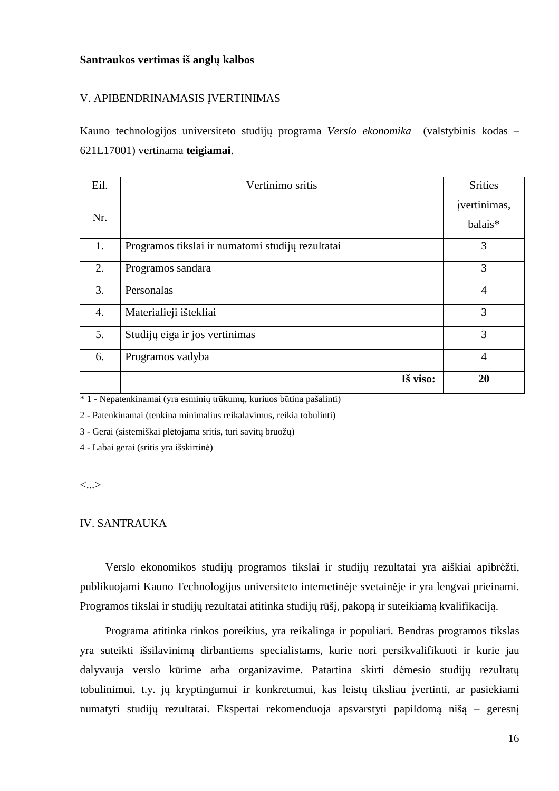#### **Santraukos vertimas iš anglų kalbos**

#### V. APIBENDRINAMASIS ĮVERTINIMAS

Kauno technologijos universiteto studijų programa *Verslo ekonomika* (valstybinis kodas – 621L17001) vertinama **teigiamai**.

| Eil.             | Vertinimo sritis                                 | <b>Srities</b>          |
|------------------|--------------------------------------------------|-------------------------|
| Nr.              |                                                  | jvertinimas,<br>balais* |
|                  |                                                  |                         |
| 1.               | Programos tikslai ir numatomi studijų rezultatai | 3                       |
| 2.               | Programos sandara                                | 3                       |
| 3.               | Personalas                                       | $\overline{4}$          |
| $\overline{4}$ . | Materialieji ištekliai                           | 3                       |
| 5.               | Studijų eiga ir jos vertinimas                   | 3                       |
| 6.               | Programos vadyba                                 | $\overline{4}$          |
|                  | Iš viso:                                         | 20                      |

\* 1 - Nepatenkinamai (yra esminių trūkumų, kuriuos būtina pašalinti)

2 - Patenkinamai (tenkina minimalius reikalavimus, reikia tobulinti)

3 - Gerai (sistemiškai plėtojama sritis, turi savitų bruožų)

4 - Labai gerai (sritis yra išskirtinė)

<...>

#### IV. SANTRAUKA

Verslo ekonomikos studijų programos tikslai ir studijų rezultatai yra aiškiai apibrėžti, publikuojami Kauno Technologijos universiteto internetinėje svetainėje ir yra lengvai prieinami. Programos tikslai ir studijų rezultatai atitinka studijų rūšį, pakopą ir suteikiamą kvalifikaciją.

Programa atitinka rinkos poreikius, yra reikalinga ir populiari. Bendras programos tikslas yra suteikti išsilavinimą dirbantiems specialistams, kurie nori persikvalifikuoti ir kurie jau dalyvauja verslo kūrime arba organizavime. Patartina skirti dėmesio studijų rezultatų tobulinimui, t.y. jų kryptingumui ir konkretumui, kas leistų tiksliau įvertinti, ar pasiekiami numatyti studijų rezultatai. Ekspertai rekomenduoja apsvarstyti papildomą nišą – geresnį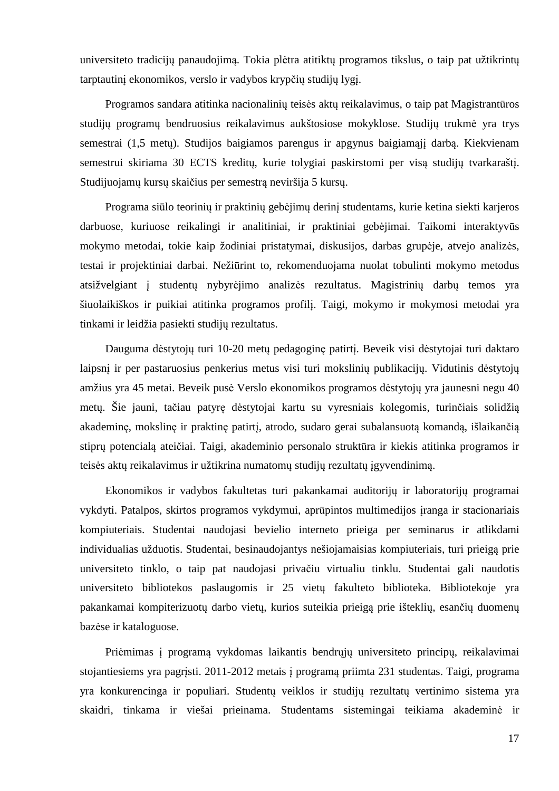universiteto tradicijų panaudojimą. Tokia plėtra atitiktų programos tikslus, o taip pat užtikrintų tarptautinį ekonomikos, verslo ir vadybos krypčių studijų lygį.

Programos sandara atitinka nacionalinių teisės aktų reikalavimus, o taip pat Magistrantūros studijų programų bendruosius reikalavimus aukštosiose mokyklose. Studijų trukmė yra trys semestrai (1,5 metų). Studijos baigiamos parengus ir apgynus baigiamąjį darbą. Kiekvienam semestrui skiriama 30 ECTS kreditų, kurie tolygiai paskirstomi per visą studijų tvarkaraštį. Studijuojamų kursų skaičius per semestrą neviršija 5 kursų.

Programa siūlo teorinių ir praktinių gebėjimų derinį studentams, kurie ketina siekti karjeros darbuose, kuriuose reikalingi ir analitiniai, ir praktiniai gebėjimai. Taikomi interaktyvūs mokymo metodai, tokie kaip žodiniai pristatymai, diskusijos, darbas grupėje, atvejo analizės, testai ir projektiniai darbai. Nežiūrint to, rekomenduojama nuolat tobulinti mokymo metodus atsižvelgiant į studentų nybyrėjimo analizės rezultatus. Magistrinių darbų temos yra šiuolaikiškos ir puikiai atitinka programos profilį. Taigi, mokymo ir mokymosi metodai yra tinkami ir leidžia pasiekti studijų rezultatus.

Dauguma dėstytojų turi 10-20 metų pedagoginę patirtį. Beveik visi dėstytojai turi daktaro laipsnį ir per pastaruosius penkerius metus visi turi mokslinių publikacijų. Vidutinis dėstytojų amžius yra 45 metai. Beveik pusė Verslo ekonomikos programos dėstytojų yra jaunesni negu 40 metų. Šie jauni, tačiau patyrę dėstytojai kartu su vyresniais kolegomis, turinčiais solidžią akademinę, mokslinę ir praktinę patirtį, atrodo, sudaro gerai subalansuotą komandą, išlaikančią stiprų potencialą ateičiai. Taigi, akademinio personalo struktūra ir kiekis atitinka programos ir teisės aktų reikalavimus ir užtikrina numatomų studijų rezultatų įgyvendinimą.

Ekonomikos ir vadybos fakultetas turi pakankamai auditorijų ir laboratorijų programai vykdyti. Patalpos, skirtos programos vykdymui, aprūpintos multimedijos įranga ir stacionariais kompiuteriais. Studentai naudojasi bevielio interneto prieiga per seminarus ir atlikdami individualias užduotis. Studentai, besinaudojantys nešiojamaisias kompiuteriais, turi prieigą prie universiteto tinklo, o taip pat naudojasi privačiu virtualiu tinklu. Studentai gali naudotis universiteto bibliotekos paslaugomis ir 25 vietų fakulteto biblioteka. Bibliotekoje yra pakankamai kompiterizuotų darbo vietų, kurios suteikia prieigą prie išteklių, esančių duomenų bazėse ir kataloguose.

Priėmimas į programą vykdomas laikantis bendrųjų universiteto principų, reikalavimai stojantiesiems yra pagrįsti. 2011-2012 metais į programą priimta 231 studentas. Taigi, programa yra konkurencinga ir populiari. Studentų veiklos ir studijų rezultatų vertinimo sistema yra skaidri, tinkama ir viešai prieinama. Studentams sistemingai teikiama akademinė ir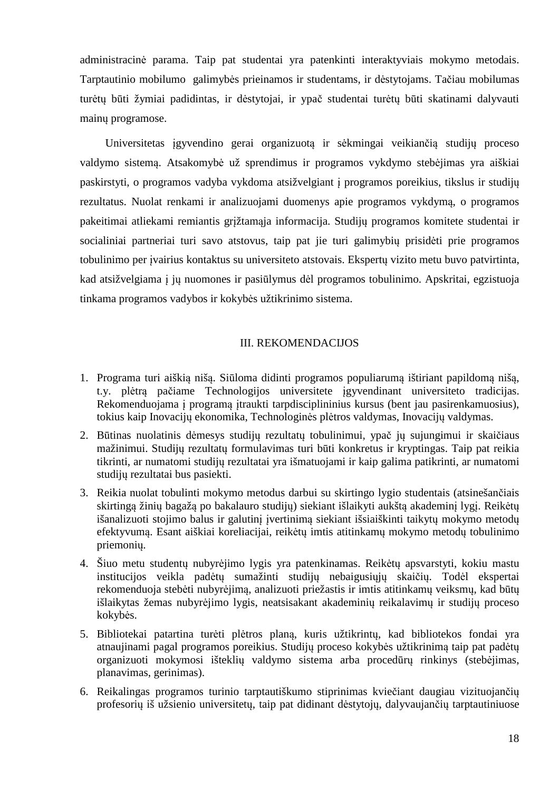administracinė parama. Taip pat studentai yra patenkinti interaktyviais mokymo metodais. Tarptautinio mobilumo galimybės prieinamos ir studentams, ir dėstytojams. Tačiau mobilumas turėtų būti žymiai padidintas, ir dėstytojai, ir ypač studentai turėtų būti skatinami dalyvauti mainų programose.

Universitetas įgyvendino gerai organizuotą ir sėkmingai veikiančią studijų proceso valdymo sistemą. Atsakomybė už sprendimus ir programos vykdymo stebėjimas yra aiškiai paskirstyti, o programos vadyba vykdoma atsižvelgiant į programos poreikius, tikslus ir studijų rezultatus. Nuolat renkami ir analizuojami duomenys apie programos vykdymą, o programos pakeitimai atliekami remiantis grįžtamąja informacija. Studijų programos komitete studentai ir socialiniai partneriai turi savo atstovus, taip pat jie turi galimybių prisidėti prie programos tobulinimo per įvairius kontaktus su universiteto atstovais. Ekspertų vizito metu buvo patvirtinta, kad atsižvelgiama į jų nuomones ir pasiūlymus dėl programos tobulinimo. Apskritai, egzistuoja tinkama programos vadybos ir kokybės užtikrinimo sistema.

#### III. REKOMENDACIJOS

- 1. Programa turi aiškią nišą. Siūloma didinti programos populiarumą ištiriant papildomą nišą, t.y. plėtrą pačiame Technologijos universitete įgyvendinant universiteto tradicijas. Rekomenduojama į programą įtraukti tarpdisciplininius kursus (bent jau pasirenkamuosius), tokius kaip Inovacijų ekonomika, Technologinės plėtros valdymas, Inovacijų valdymas.
- 2. Būtinas nuolatinis dėmesys studijų rezultatų tobulinimui, ypač jų sujungimui ir skaičiaus mažinimui. Studijų rezultatų formulavimas turi būti konkretus ir kryptingas. Taip pat reikia tikrinti, ar numatomi studijų rezultatai yra išmatuojami ir kaip galima patikrinti, ar numatomi studijų rezultatai bus pasiekti.
- 3. Reikia nuolat tobulinti mokymo metodus darbui su skirtingo lygio studentais (atsinešančiais skirtingą žinių bagažą po bakalauro studijų) siekiant išlaikyti aukštą akademinį lygį. Reikėtų išanalizuoti stojimo balus ir galutinį įvertinimą siekiant išsiaiškinti taikytų mokymo metodų efektyvumą. Esant aiškiai koreliacijai, reikėtų imtis atitinkamų mokymo metodų tobulinimo priemonių.
- 4. Šiuo metu studentų nubyrėjimo lygis yra patenkinamas. Reikėtų apsvarstyti, kokiu mastu institucijos veikla padėtų sumažinti studijų nebaigusiųjų skaičių. Todėl ekspertai rekomenduoja stebėti nubyrėjimą, analizuoti priežastis ir imtis atitinkamų veiksmų, kad būtų išlaikytas žemas nubyrėjimo lygis, neatsisakant akademinių reikalavimų ir studijų proceso kokybės.
- 5. Bibliotekai patartina turėti plėtros planą, kuris užtikrintų, kad bibliotekos fondai yra atnaujinami pagal programos poreikius. Studijų proceso kokybės užtikrinimą taip pat padėtų organizuoti mokymosi išteklių valdymo sistema arba procedūrų rinkinys (stebėjimas, planavimas, gerinimas).
- 6. Reikalingas programos turinio tarptautiškumo stiprinimas kviečiant daugiau vizituojančių profesorių iš užsienio universitetų, taip pat didinant dėstytojų, dalyvaujančių tarptautiniuose